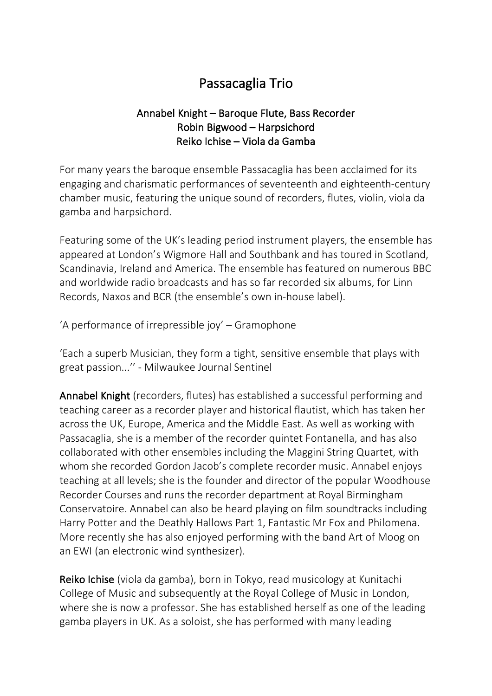## Passacaglia Trio

## Annabel Knight – Baroque Flute, Bass Recorder Robin Bigwood – Harpsichord Reiko Ichise – Viola da Gamba

For many years the baroque ensemble Passacaglia has been acclaimed for its engaging and charismatic performances of seventeenth and eighteenth-century chamber music, featuring the unique sound of recorders, flutes, violin, viola da gamba and harpsichord.

Featuring some of the UK's leading period instrument players, the ensemble has appeared at London's Wigmore Hall and Southbank and has toured in Scotland, Scandinavia, Ireland and America. The ensemble has featured on numerous BBC and worldwide radio broadcasts and has so far recorded six albums, for Linn Records, Naxos and BCR (the ensemble's own in-house label).

'A performance of irrepressible joy' – Gramophone

'Each a superb Musician, they form a tight, sensitive ensemble that plays with great passion...'' - Milwaukee Journal Sentinel

Annabel Knight (recorders, flutes) has established a successful performing and teaching career as a recorder player and historical flautist, which has taken her across the UK, Europe, America and the Middle East. As well as working with Passacaglia, she is a member of the recorder quintet Fontanella, and has also collaborated with other ensembles including the Maggini String Quartet, with whom she recorded Gordon Jacob's complete recorder music. Annabel enjoys teaching at all levels; she is the founder and director of the popular Woodhouse Recorder Courses and runs the recorder department at Royal Birmingham Conservatoire. Annabel can also be heard playing on film soundtracks including Harry Potter and the Deathly Hallows Part 1, Fantastic Mr Fox and Philomena. More recently she has also enjoyed performing with the band Art of Moog on an EWI (an electronic wind synthesizer).

Reiko Ichise (viola da gamba), born in Tokyo, read musicology at Kunitachi College of Music and subsequently at the Royal College of Music in London, where she is now a professor. She has established herself as one of the leading gamba players in UK. As a soloist, she has performed with many leading